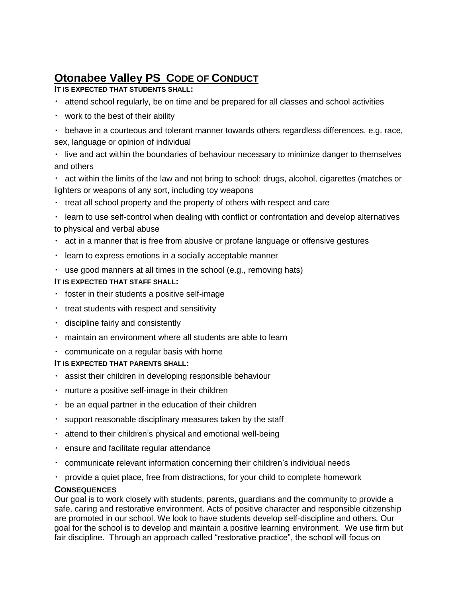# **Otonabee Valley PS CODE OF CONDUCT**

# **IT IS EXPECTED THAT STUDENTS SHALL:**

- $\cdot$  attend school regularly, be on time and be prepared for all classes and school activities
- work to the best of their ability
- $\cdot$  behave in a courteous and tolerant manner towards others regardless differences, e.g. race, sex, language or opinion of individual
- live and act within the boundaries of behaviour necessary to minimize danger to themselves and others
- act within the limits of the law and not bring to school: drugs, alcohol, cigarettes (matches or lighters or weapons of any sort, including toy weapons
- $\cdot$  treat all school property and the property of others with respect and care
- learn to use self-control when dealing with conflict or confrontation and develop alternatives to physical and verbal abuse
- $\cdot$  act in a manner that is free from abusive or profane language or offensive gestures
- learn to express emotions in a socially acceptable manner
- use good manners at all times in the school (e.g., removing hats)

## **IT IS EXPECTED THAT STAFF SHALL:**

- $\cdot$  foster in their students a positive self-image
- $\cdot$  treat students with respect and sensitivity
- discipline fairly and consistently
- maintain an environment where all students are able to learn
- communicate on a regular basis with home

# **IT IS EXPECTED THAT PARENTS SHALL:**

- assist their children in developing responsible behaviour
- nurture a positive self-image in their children
- $\cdot$  be an equal partner in the education of their children
- support reasonable disciplinary measures taken by the staff
- attend to their children's physical and emotional well-being
- ensure and facilitate regular attendance
- communicate relevant information concerning their children's individual needs
- provide a quiet place, free from distractions, for your child to complete homework

#### **CONSEQUENCES**

Our goal is to work closely with students, parents, guardians and the community to provide a safe, caring and restorative environment. Acts of positive character and responsible citizenship are promoted in our school. We look to have students develop self-discipline and others. Our goal for the school is to develop and maintain a positive learning environment. We use firm but fair discipline. Through an approach called "restorative practice", the school will focus on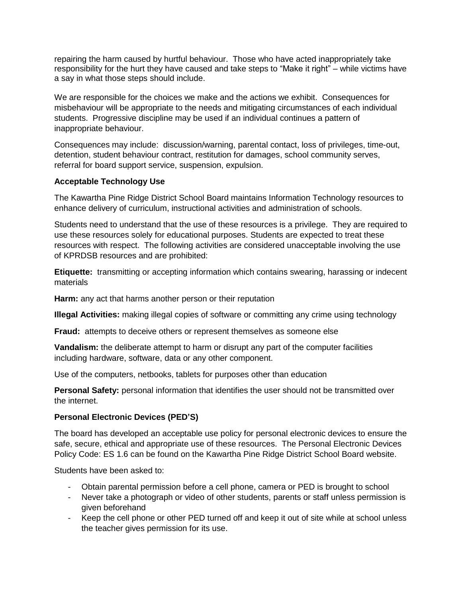repairing the harm caused by hurtful behaviour. Those who have acted inappropriately take responsibility for the hurt they have caused and take steps to "Make it right" – while victims have a say in what those steps should include.

We are responsible for the choices we make and the actions we exhibit. Consequences for misbehaviour will be appropriate to the needs and mitigating circumstances of each individual students. Progressive discipline may be used if an individual continues a pattern of inappropriate behaviour.

Consequences may include: discussion/warning, parental contact, loss of privileges, time-out, detention, student behaviour contract, restitution for damages, school community serves, referral for board support service, suspension, expulsion.

#### **Acceptable Technology Use**

The Kawartha Pine Ridge District School Board maintains Information Technology resources to enhance delivery of curriculum, instructional activities and administration of schools.

Students need to understand that the use of these resources is a privilege. They are required to use these resources solely for educational purposes. Students are expected to treat these resources with respect. The following activities are considered unacceptable involving the use of KPRDSB resources and are prohibited:

**Etiquette:** transmitting or accepting information which contains swearing, harassing or indecent materials

**Harm:** any act that harms another person or their reputation

**Illegal Activities:** making illegal copies of software or committing any crime using technology

**Fraud:** attempts to deceive others or represent themselves as someone else

**Vandalism:** the deliberate attempt to harm or disrupt any part of the computer facilities including hardware, software, data or any other component.

Use of the computers, netbooks, tablets for purposes other than education

**Personal Safety:** personal information that identifies the user should not be transmitted over the internet.

#### **Personal Electronic Devices (PED'S)**

The board has developed an acceptable use policy for personal electronic devices to ensure the safe, secure, ethical and appropriate use of these resources. The Personal Electronic Devices Policy Code: ES 1.6 can be found on the Kawartha Pine Ridge District School Board website.

Students have been asked to:

- Obtain parental permission before a cell phone, camera or PED is brought to school
- Never take a photograph or video of other students, parents or staff unless permission is given beforehand
- Keep the cell phone or other PED turned off and keep it out of site while at school unless the teacher gives permission for its use.